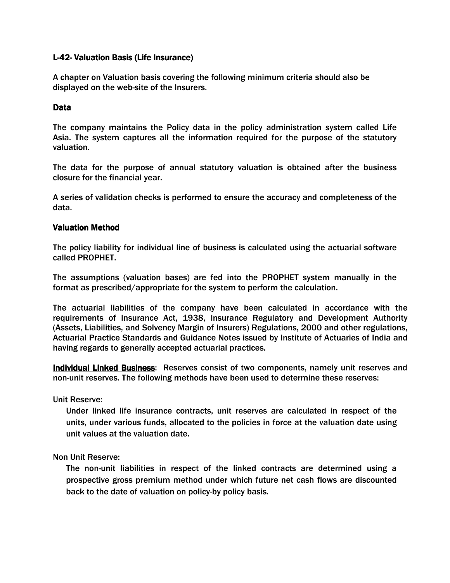# L-42- Valuation Basis (Life Insurance)

A chapter on Valuation basis covering the following minimum criteria should also be displayed on the web-site of the Insurers.

## Data

The company maintains the Policy data in the policy administration system called Life Asia. The system captures all the information required for the purpose of the statutory valuation.

The data for the purpose of annual statutory valuation is obtained after the business closure for the financial year.

A series of validation checks is performed to ensure the accuracy and completeness of the data.

## Valuation Method

The policy liability for individual line of business is calculated using the actuarial software called PROPHET.

The assumptions (valuation bases) are fed into the PROPHET system manually in the format as prescribed/appropriate for the system to perform the calculation.

The actuarial liabilities of the company have been calculated in accordance with the requirements of Insurance Act, 1938, Insurance Regulatory and Development Authority (Assets, Liabilities, and Solvency Margin of Insurers) Regulations, 2000 and other regulations, Actuarial Practice Standards and Guidance Notes issued by Institute of Actuaries of India and having regards to generally accepted actuarial practices.

Individual Linked Business: Reserves consist of two components, namely unit reserves and non-unit reserves. The following methods have been used to determine these reserves:

Unit Reserve:

Under linked life insurance contracts, unit reserves are calculated in respect of the units, under various funds, allocated to the policies in force at the valuation date using unit values at the valuation date.

Non Unit Reserve:

The non-unit liabilities in respect of the linked contracts are determined using a prospective gross premium method under which future net cash flows are discounted back to the date of valuation on policy-by policy basis.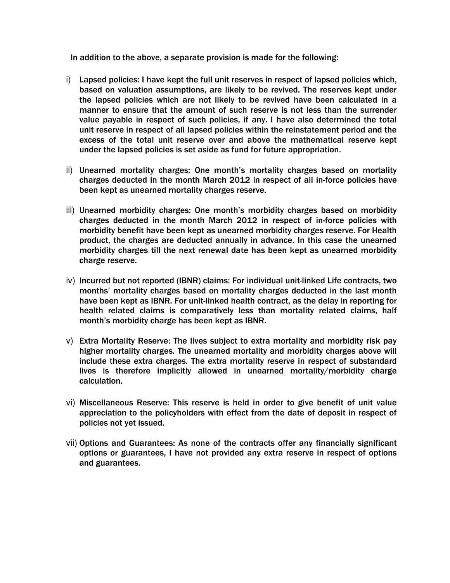In addition to the above, a separate provision is made for the following:

- i) Lapsed policies: I have kept the full unit reserves in respect of lapsed policies which, based on valuation assumptions, are likely to be revived. The reserves kept under the lapsed policies which are not likely to be revived have been calculated in a manner to ensure that the amount of such reserve is not less than the surrender value payable in respect of such policies, if any. I have also determined the total unit reserve in respect of all lapsed policies within the reinstatement period and the excess of the total unit reserve over and above the mathematical reserve kept under the lapsed policies is set aside as fund for future appropriation.
- ii) Unearned mortality charges: One month's mortality charges based on mortality charges deducted in the month March 2012 in respect of all in-force policies have been kept as unearned mortality charges reserve.
- iii) Unearned morbidity charges: One month's morbidity charges based on morbidity charges deducted in the month March 2012 in respect of in-force policies with morbidity benefit have been kept as unearned morbidity charges reserve. For Health product, the charges are deducted annually in advance. In this case the unearned morbidity charges till the next renewal date has been kept as unearned morbidity charge reserve.
- iv) Incurred but not reported (IBNR) claims: For individual unit-linked Life contracts, two months' mortality charges based on mortality charges deducted in the last month have been kept as IBNR. For unit-linked health contract, as the delay in reporting for health related claims is comparatively less than mortality related claims, half month's morbidity charge has been kept as IBNR.
- v) Extra Mortality Reserve: The lives subject to extra mortality and morbidity risk pay higher mortality charges. The unearned mortality and morbidity charges above will include these extra charges. The extra mortality reserve in respect of substandard lives is therefore implicitly allowed in unearned mortality/morbidity charge calculation.
- vi) Miscellaneous Reserve: This reserve is held in order to give benefit of unit value appreciation to the policyholders with effect from the date of deposit in respect of policies not yet issued.
- vii) Options and Guarantees: As none of the contracts offer any financially significant options or guarantees, I have not provided any extra reserve in respect of options and guarantees.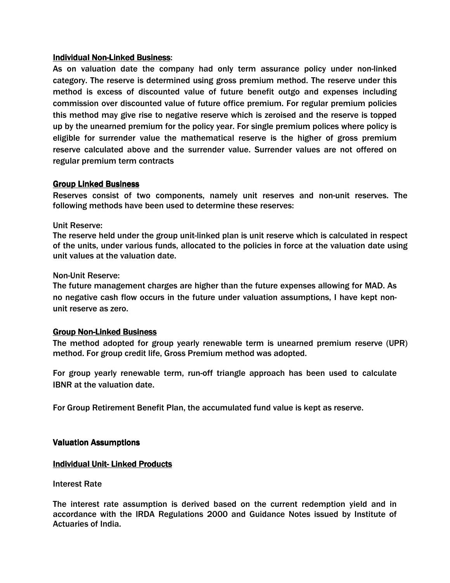#### **Individual Non-Linked Business:**

As on valuation date the company had only term assurance policy under non-linked category. The reserve is determined using gross premium method. The reserve under this method is excess of discounted value of future benefit outgo and expenses including commission over discounted value of future office premium. For regular premium policies this method may give rise to negative reserve which is zeroised and the reserve is topped up by the unearned premium for the policy year. For single premium polices where policy is eligible for surrender value the mathematical reserve is the higher of gross premium reserve calculated above and the surrender value. Surrender values are not offered on regular premium term contracts

## Group Linked Business

Reserves consist of two components, namely unit reserves and non-unit reserves. The following methods have been used to determine these reserves:

## Unit Reserve:

The reserve held under the group unit-linked plan is unit reserve which is calculated in respect of the units, under various funds, allocated to the policies in force at the valuation date using unit values at the valuation date.

## Non-Unit Reserve:

The future management charges are higher than the future expenses allowing for MAD. As no negative cash flow occurs in the future under valuation assumptions, I have kept nonunit reserve as zero.

# **Group Non-Linked Business**

The method adopted for group yearly renewable term is unearned premium reserve (UPR) method. For group credit life, Gross Premium method was adopted.

For group yearly renewable term, run-off triangle approach has been used to calculate IBNR at the valuation date.

For Group Retirement Benefit Plan, the accumulated fund value is kept as reserve.

#### **Valuation Assumptions**

# **Individual Unit-Linked Products**

#### Interest Rate

The interest rate assumption is derived based on the current redemption yield and in accordance with the IRDA Regulations 2000 and Guidance Notes issued by Institute of Actuaries of India.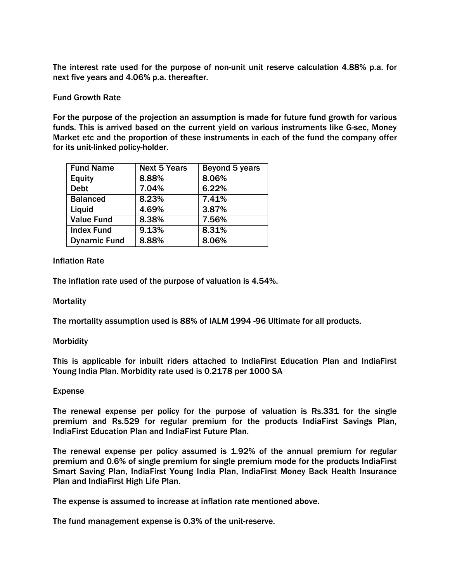The interest rate used for the purpose of non-unit unit reserve calculation 4.88% p.a. for next five years and 4.06% p.a. thereafter.

## Fund Growth Rate

For the purpose of the projection an assumption is made for future fund growth for various funds. This is arrived based on the current yield on various instruments like G-sec, Money Market etc and the proportion of these instruments in each of the fund the company offer for its unit-linked policy-holder.

| <b>Fund Name</b>    | <b>Next 5 Years</b> | Beyond 5 years |
|---------------------|---------------------|----------------|
| <b>Equity</b>       | 8.88%               | 8.06%          |
| <b>Debt</b>         | 7.04%               | 6.22%          |
| <b>Balanced</b>     | 8.23%               | 7.41%          |
| Liquid              | 4.69%               | 3.87%          |
| <b>Value Fund</b>   | 8.38%               | 7.56%          |
| <b>Index Fund</b>   | 9.13%               | 8.31%          |
| <b>Dynamic Fund</b> | 8.88%               | 8.06%          |

## Inflation Rate

The inflation rate used of the purpose of valuation is 4.54%.

#### Mortality

The mortality assumption used is 88% of IALM 1994 -96 Ultimate for all products.

#### **Morbidity**

This is applicable for inbuilt riders attached to IndiaFirst Education Plan and IndiaFirst Young India Plan. Morbidity rate used is 0.2178 per 1000 SA

#### Expense

The renewal expense per policy for the purpose of valuation is Rs.331 for the single premium and Rs.529 for regular premium for the products IndiaFirst Savings Plan, IndiaFirst Education Plan and IndiaFirst Future Plan.

The renewal expense per policy assumed is 1.92% of the annual premium for regular premium and 0.6% of single premium for single premium mode for the products IndiaFirst Smart Saving Plan, IndiaFirst Young India Plan, IndiaFirst Money Back Health Insurance Plan and IndiaFirst High Life Plan.

The expense is assumed to increase at inflation rate mentioned above.

The fund management expense is 0.3% of the unit-reserve.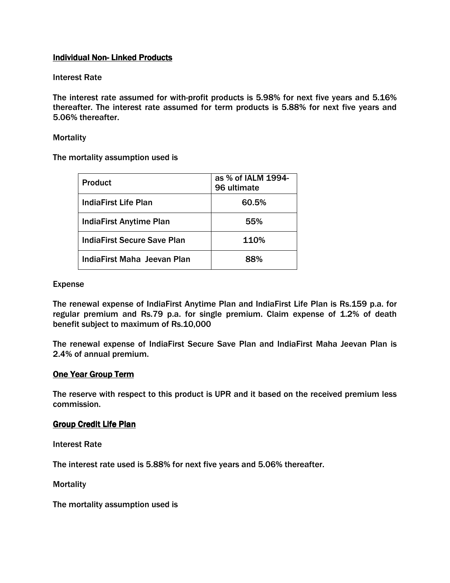# **Individual Non-Linked Products**

## Interest Rate

The interest rate assumed for with-profit products is 5.98% for next five years and 5.16% thereafter. The interest rate assumed for term products is 5.88% for next five years and 5.06% thereafter.

#### **Mortality**

The mortality assumption used is

| <b>Product</b>                     | as % of IALM 1994-<br>96 ultimate |
|------------------------------------|-----------------------------------|
| <b>IndiaFirst Life Plan</b>        | 60.5%                             |
| <b>IndiaFirst Anytime Plan</b>     | 55%                               |
| <b>IndiaFirst Secure Save Plan</b> | 110%                              |
| IndiaFirst Maha Jeevan Plan        | 88%                               |

#### Expense

The renewal expense of IndiaFirst Anytime Plan and IndiaFirst Life Plan is Rs.159 p.a. for regular premium and Rs.79 p.a. for single premium. Claim expense of 1.2% of death benefit subject to maximum of Rs.10,000

The renewal expense of IndiaFirst Secure Save Plan and IndiaFirst Maha Jeevan Plan is 2.4% of annual premium.

# One Year Group Term

The reserve with respect to this product is UPR and it based on the received premium less commission.

#### **Group Credit Life Plan**

Interest Rate

The interest rate used is 5.88% for next five years and 5.06% thereafter.

**Mortality** 

The mortality assumption used is